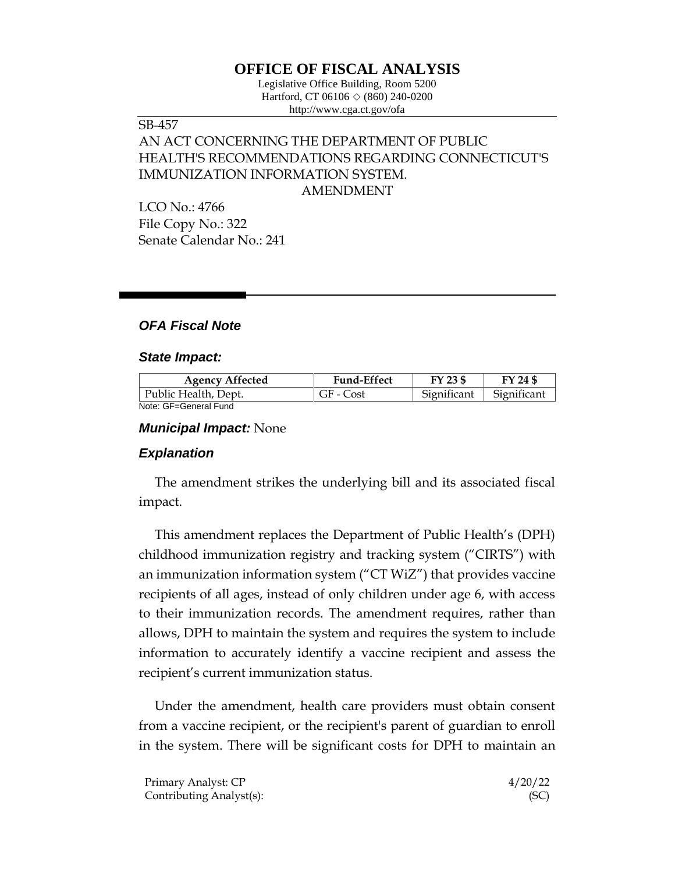# **OFFICE OF FISCAL ANALYSIS**

Legislative Office Building, Room 5200 Hartford, CT 06106  $\Diamond$  (860) 240-0200 http://www.cga.ct.gov/ofa

## SB-457

## AN ACT CONCERNING THE DEPARTMENT OF PUBLIC HEALTH'S RECOMMENDATIONS REGARDING CONNECTICUT'S IMMUNIZATION INFORMATION SYSTEM. AMENDMENT

LCO No.: 4766 File Copy No.: 322 Senate Calendar No.: 241

## *OFA Fiscal Note*

#### *State Impact:*

| <b>Agency Affected</b> | <b>Fund-Effect</b> | FY 23 \$    | FY 24 \$    |
|------------------------|--------------------|-------------|-------------|
| Public Health, Dept.   | GF - Cost          | Significant | Significant |
| Noto: CE_Conoral Eund  |                    |             |             |

Note: GF=General Fund

#### *Municipal Impact:* None

### *Explanation*

The amendment strikes the underlying bill and its associated fiscal impact.

This amendment replaces the Department of Public Health's (DPH) childhood immunization registry and tracking system ("CIRTS") with an immunization information system ("CT WiZ") that provides vaccine recipients of all ages, instead of only children under age 6, with access to their immunization records. The amendment requires, rather than allows, DPH to maintain the system and requires the system to include information to accurately identify a vaccine recipient and assess the recipient's current immunization status.

Under the amendment, health care providers must obtain consent from a vaccine recipient, or the recipient's parent of guardian to enroll in the system. There will be significant costs for DPH to maintain an